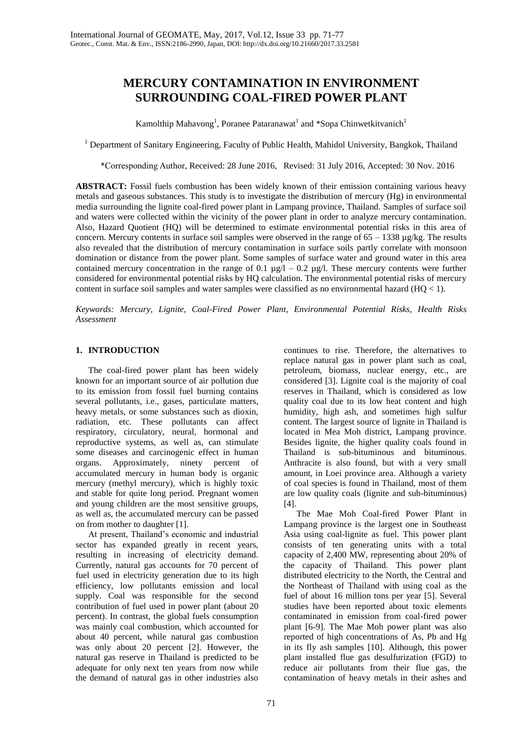# **MERCURY CONTAMINATION IN ENVIRONMENT SURROUNDING COAL-FIRED POWER PLANT**

Kamolthip Mahavong<sup>1</sup>, Poranee Pataranawat<sup>1</sup> and \*Sopa Chinwetkitvanich<sup>1</sup>

<sup>1</sup> Department of Sanitary Engineering, Faculty of Public Health, Mahidol University, Bangkok, Thailand

\*Corresponding Author, Received: 28 June 2016, Revised: 31 July 2016, Accepted: 30 Nov. 2016

**ABSTRACT:** Fossil fuels combustion has been widely known of their emission containing various heavy metals and gaseous substances. This study is to investigate the distribution of mercury (Hg) in environmental media surrounding the lignite coal-fired power plant in Lampang province, Thailand. Samples of surface soil and waters were collected within the vicinity of the power plant in order to analyze mercury contamination. Also, Hazard Quotient (HQ) will be determined to estimate environmental potential risks in this area of concern. Mercury contents in surface soil samples were observed in the range of  $65 - 1338 \mu g/kg$ . The results also revealed that the distribution of mercury contamination in surface soils partly correlate with monsoon domination or distance from the power plant. Some samples of surface water and ground water in this area contained mercury concentration in the range of 0.1  $\mu$ g/l – 0.2  $\mu$ g/l. These mercury contents were further considered for environmental potential risks by HQ calculation. The environmental potential risks of mercury content in surface soil samples and water samples were classified as no environmental hazard  $(HQ < 1)$ .

*Keywords: Mercury, Lignite, Coal-Fired Power Plant, Environmental Potential Risks, Health Risks Assessment* 

# **1. INTRODUCTION**

The coal-fired power plant has been widely known for an important source of air pollution due to its emission from fossil fuel burning contains several pollutants, i.e., gases, particulate matters, heavy metals, or some substances such as dioxin, radiation, etc. These pollutants can affect respiratory, circulatory, neural, hormonal and reproductive systems, as well as, can stimulate some diseases and carcinogenic effect in human organs. Approximately, ninety percent of accumulated mercury in human body is organic mercury (methyl mercury), which is highly toxic and stable for quite long period. Pregnant women and young children are the most sensitive groups, as well as, the accumulated mercury can be passed on from mother to daughter [1].

At present, Thailand's economic and industrial sector has expanded greatly in recent years, resulting in increasing of electricity demand. Currently, natural gas accounts for 70 percent of fuel used in electricity generation due to its high efficiency, low pollutants emission and local supply. Coal was responsible for the second contribution of fuel used in power plant (about 20 percent). In contrast, the global fuels consumption was mainly coal combustion, which accounted for about 40 percent, while natural gas combustion was only about 20 percent [2]. However, the natural gas reserve in Thailand is predicted to be adequate for only next ten years from now while the demand of natural gas in other industries also

continues to rise. Therefore, the alternatives to replace natural gas in power plant such as coal, petroleum, biomass, nuclear energy, etc., are considered [3]. Lignite coal is the majority of coal reserves in Thailand, which is considered as low quality coal due to its low heat content and high humidity, high ash, and sometimes high sulfur content. The largest source of lignite in Thailand is located in Mea Moh district, Lampang province. Besides lignite, the higher quality coals found in Thailand is sub-bituminous and bituminous. Anthracite is also found, but with a very small amount, in Loei province area. Although a variety of coal species is found in Thailand, most of them are low quality coals (lignite and sub-bituminous) [4].

The Mae Moh Coal-fired Power Plant in Lampang province is the largest one in Southeast Asia using coal-lignite as fuel. This power plant consists of ten generating units with a total capacity of 2,400 MW, representing about 20% of the capacity of Thailand. This power plant distributed electricity to the North, the Central and the Northeast of Thailand with using coal as the fuel of about 16 million tons per year [5]. Several studies have been reported about toxic elements contaminated in emission from coal-fired power plant [6-9]. The Mae Moh power plant was also reported of high concentrations of As, Pb and Hg in its fly ash samples [10]. Although, this power plant installed flue gas desulfurization (FGD) to reduce air pollutants from their flue gas, the contamination of heavy metals in their ashes and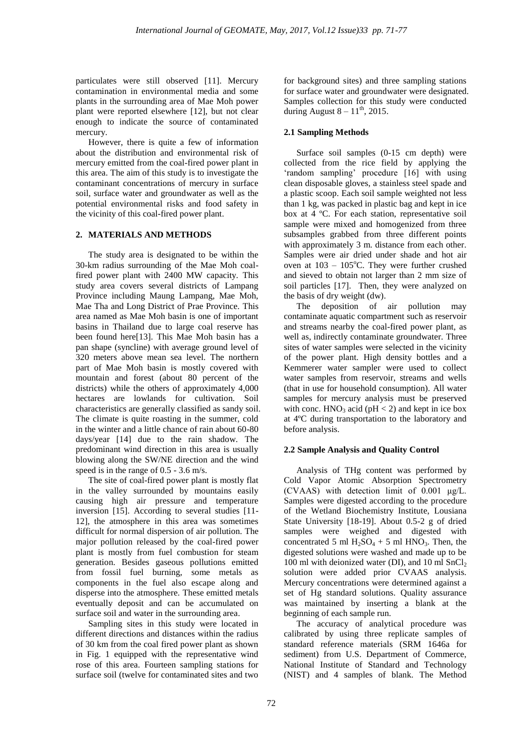particulates were still observed [11]. Mercury contamination in environmental media and some plants in the surrounding area of Mae Moh power plant were reported elsewhere [12], but not clear enough to indicate the source of contaminated mercury.

However, there is quite a few of information about the distribution and environmental risk of mercury emitted from the coal-fired power plant in this area. The aim of this study is to investigate the contaminant concentrations of mercury in surface soil, surface water and groundwater as well as the potential environmental risks and food safety in the vicinity of this coal-fired power plant.

# **2. MATERIALS AND METHODS**

The study area is designated to be within the 30-km radius surrounding of the Mae Moh coalfired power plant with 2400 MW capacity. This study area covers several districts of Lampang Province including Maung Lampang, Mae Moh, Mae Tha and Long District of Prae Province. This area named as Mae Moh basin is one of important basins in Thailand due to large coal reserve has been found here[13]. This Mae Moh basin has a pan shape (syncline) with average ground level of 320 meters above mean sea level. The northern part of Mae Moh basin is mostly covered with mountain and forest (about 80 percent of the districts) while the others of approximately 4,000 hectares are lowlands for cultivation. Soil characteristics are generally classified as sandy soil. The climate is quite roasting in the summer, cold in the winter and a little chance of rain about 60-80 days/year [14] due to the rain shadow. The predominant wind direction in this area is usually blowing along the SW/NE direction and the wind speed is in the range of 0.5 - 3.6 m/s.

The site of coal-fired power plant is mostly flat in the valley surrounded by mountains easily causing high air pressure and temperature inversion [15]. According to several studies [11- 12], the atmosphere in this area was sometimes difficult for normal dispersion of air pollution. The major pollution released by the coal-fired power plant is mostly from fuel combustion for steam generation. Besides gaseous pollutions emitted from fossil fuel burning, some metals as components in the fuel also escape along and disperse into the atmosphere. These emitted metals eventually deposit and can be accumulated on surface soil and water in the surrounding area.

Sampling sites in this study were located in different directions and distances within the radius of 30 km from the coal fired power plant as shown in Fig. 1 equipped with the representative wind rose of this area. Fourteen sampling stations for surface soil (twelve for contaminated sites and two for background sites) and three sampling stations for surface water and groundwater were designated. Samples collection for this study were conducted during August  $8 - 11$ <sup>th</sup>, 2015.

# **2.1 Sampling Methods**

Surface soil samples (0-15 cm depth) were collected from the rice field by applying the 'random sampling' procedure [16] with using clean disposable gloves, a stainless steel spade and a plastic scoop. Each soil sample weighted not less than 1 kg, was packed in plastic bag and kept in ice box at 4 ºC. For each station, representative soil sample were mixed and homogenized from three subsamples grabbed from three different points with approximately 3 m. distance from each other. Samples were air dried under shade and hot air oven at  $103 - 105^{\circ}$ C. They were further crushed and sieved to obtain not larger than 2 mm size of soil particles [17]. Then, they were analyzed on the basis of dry weight (dw).

The deposition of air pollution may contaminate aquatic compartment such as reservoir and streams nearby the coal-fired power plant, as well as, indirectly contaminate groundwater. Three sites of water samples were selected in the vicinity of the power plant. High density bottles and a Kemmerer water sampler were used to collect water samples from reservoir, streams and wells (that in use for household consumption). All water samples for mercury analysis must be preserved with conc.  $HNO<sub>3</sub>$  acid (pH < 2) and kept in ice box at 4ºC during transportation to the laboratory and before analysis.

# **2.2 Sample Analysis and Quality Control**

Analysis of THg content was performed by Cold Vapor Atomic Absorption Spectrometry (CVAAS) with detection limit of 0.001 μg/L. Samples were digested according to the procedure of the Wetland Biochemistry Institute, Lousiana State University [18-19]. About 0.5-2 g of dried samples were weighed and digested with concentrated 5 ml  $H_2SO_4 + 5$  ml HNO<sub>3</sub>. Then, the digested solutions were washed and made up to be 100 ml with deionized water (DI), and 10 ml  $SnCl<sub>2</sub>$ solution were added prior CVAAS analysis. Mercury concentrations were determined against a set of Hg standard solutions. Quality assurance was maintained by inserting a blank at the beginning of each sample run.

The accuracy of analytical procedure was calibrated by using three replicate samples of standard reference materials (SRM 1646a for sediment) from U.S. Department of Commerce, National Institute of Standard and Technology (NIST) and 4 samples of blank. The Method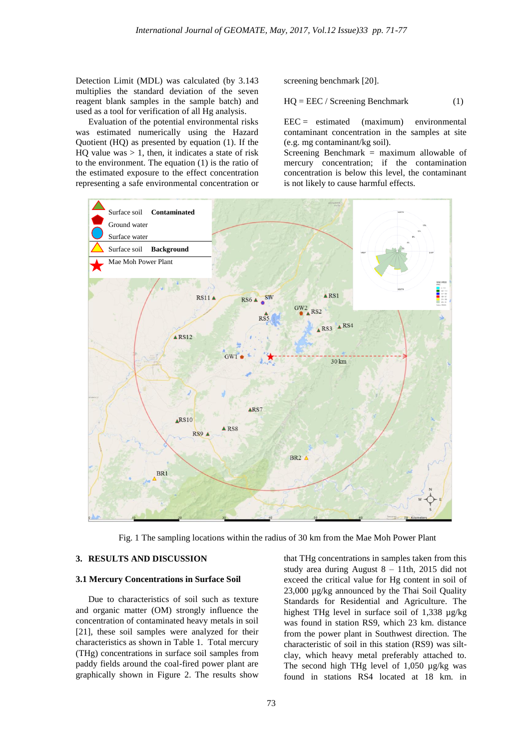Detection Limit (MDL) was calculated (by 3.143 multiplies the standard deviation of the seven reagent blank samples in the sample batch) and used as a tool for verification of all Hg analysis.

Evaluation of the potential environmental risks was estimated numerically using the Hazard Quotient (HQ) as presented by equation (1). If the HQ value was  $> 1$ , then, it indicates a state of risk to the environment. The equation (1) is the ratio of the estimated exposure to the effect concentration representing a safe environmental concentration or screening benchmark [20].

$$
HQ = EEC / \text{Screening} \text{Benchmark} \tag{1}
$$

 $\text{EEC} =$  estimated (maximum) environmental contaminant concentration in the samples at site (e.g. mg contaminant/kg soil).

Screening Benchmark = maximum allowable of mercury concentration; if the contamination concentration is below this level, the contaminant is not likely to cause harmful effects.



Fig. 1 The sampling locations within the radius of 30 km from the Mae Moh Power Plant

### **3. RESULTS AND DISCUSSION**

#### **3.1 Mercury Concentrations in Surface Soil**

Due to characteristics of soil such as texture and organic matter (OM) strongly influence the concentration of contaminated heavy metals in soil [21], these soil samples were analyzed for their characteristics as shown in Table 1. Total mercury (THg) concentrations in surface soil samples from paddy fields around the coal-fired power plant are graphically shown in Figure 2. The results show

that THg concentrations in samples taken from this study area during August 8 – 11th, 2015 did not exceed the critical value for Hg content in soil of 23,000 µg/kg announced by the Thai Soil Quality Standards for Residential and Agriculture. The highest THg level in surface soil of 1,338  $\mu$ g/kg was found in station RS9, which 23 km. distance from the power plant in Southwest direction. The characteristic of soil in this station (RS9) was siltclay, which heavy metal preferably attached to. The second high THg level of 1,050 µg/kg was found in stations RS4 located at 18 km. in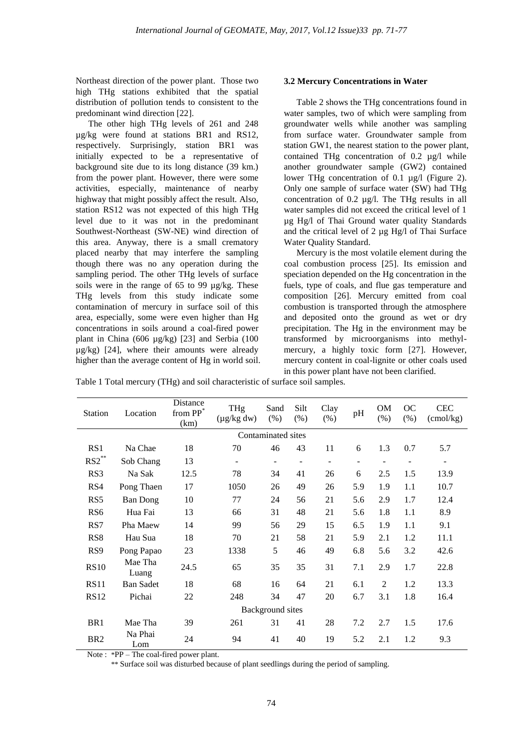Northeast direction of the power plant. Those two high THg stations exhibited that the spatial distribution of pollution tends to consistent to the predominant wind direction [22].

The other high THg levels of 261 and 248 µg/kg were found at stations BR1 and RS12, respectively. Surprisingly, station BR1 was initially expected to be a representative of background site due to its long distance (39 km.) from the power plant. However, there were some activities, especially, maintenance of nearby highway that might possibly affect the result. Also, station RS12 was not expected of this high THg level due to it was not in the predominant Southwest-Northeast (SW-NE) wind direction of this area. Anyway, there is a small crematory placed nearby that may interfere the sampling though there was no any operation during the sampling period. The other THg levels of surface soils were in the range of 65 to 99 µg/kg. These THg levels from this study indicate some contamination of mercury in surface soil of this area, especially, some were even higher than Hg concentrations in soils around a coal-fired power plant in China (606 µg/kg) [23] and Serbia (100 µg/kg) [24], where their amounts were already higher than the average content of Hg in world soil.

### **3.2 Mercury Concentrations in Water**

Table 2 shows the THg concentrations found in water samples, two of which were sampling from groundwater wells while another was sampling from surface water. Groundwater sample from station GW1, the nearest station to the power plant, contained THg concentration of 0.2 µg/l while another groundwater sample (GW2) contained lower THg concentration of 0.1 µg/l (Figure 2). Only one sample of surface water (SW) had THg concentration of 0.2 µg/l. The THg results in all water samples did not exceed the critical level of 1 µg Hg/l of Thai Ground water quality Standards and the critical level of 2 µg Hg/l of Thai Surface Water Quality Standard.

Mercury is the most volatile element during the coal combustion process [25]. Its emission and speciation depended on the Hg concentration in the fuels, type of coals, and flue gas temperature and composition [26]. Mercury emitted from coal combustion is transported through the atmosphere and deposited onto the ground as wet or dry precipitation. The Hg in the environment may be transformed by microorganisms into methylmercury, a highly toxic form [27]. However, mercury content in coal-lignite or other coals used in this power plant have not been clarified.

Table 1 Total mercury (THg) and soil characteristic of surface soil samples.

| <b>Station</b>     | Location         | Distance<br>from PP*<br>(km) | THg<br>$(\mu g/kg dw)$ | Sand<br>(% ) | Silt<br>(% ) | Clay<br>(% ) | pH  | <b>OM</b><br>(% ) | OC<br>(% ) | <b>CEC</b><br>$\text{(cmol/kg)}$ |
|--------------------|------------------|------------------------------|------------------------|--------------|--------------|--------------|-----|-------------------|------------|----------------------------------|
| Contaminated sites |                  |                              |                        |              |              |              |     |                   |            |                                  |
| RS <sub>1</sub>    | Na Chae          | 18                           | 70                     | 46           | 43           | 11           | 6   | 1.3               | 0.7        | 5.7                              |
| $RS2$ **           | Sob Chang        | 13                           |                        |              |              |              |     |                   |            |                                  |
| RS3                | Na Sak           | 12.5                         | 78                     | 34           | 41           | 26           | 6   | 2.5               | 1.5        | 13.9                             |
| RS4                | Pong Thaen       | 17                           | 1050                   | 26           | 49           | 26           | 5.9 | 1.9               | 1.1        | 10.7                             |
| RS <sub>5</sub>    | <b>Ban Dong</b>  | 10                           | 77                     | 24           | 56           | 21           | 5.6 | 2.9               | 1.7        | 12.4                             |
| RS <sub>6</sub>    | Hua Fai          | 13                           | 66                     | 31           | 48           | 21           | 5.6 | 1.8               | 1.1        | 8.9                              |
| RS7                | Pha Maew         | 14                           | 99                     | 56           | 29           | 15           | 6.5 | 1.9               | 1.1        | 9.1                              |
| RS <sub>8</sub>    | Hau Sua          | 18                           | 70                     | 21           | 58           | 21           | 5.9 | 2.1               | 1.2        | 11.1                             |
| RS <sub>9</sub>    | Pong Papao       | 23                           | 1338                   | 5            | 46           | 49           | 6.8 | 5.6               | 3.2        | 42.6                             |
| <b>RS10</b>        | Mae Tha<br>Luang | 24.5                         | 65                     | 35           | 35           | 31           | 7.1 | 2.9               | 1.7        | 22.8                             |
| <b>RS11</b>        | <b>Ban Sadet</b> | 18                           | 68                     | 16           | 64           | 21           | 6.1 | $\overline{c}$    | 1.2        | 13.3                             |
| <b>RS12</b>        | Pichai           | 22                           | 248                    | 34           | 47           | 20           | 6.7 | 3.1               | 1.8        | 16.4                             |
| Background sites   |                  |                              |                        |              |              |              |     |                   |            |                                  |
| BR <sub>1</sub>    | Mae Tha          | 39                           | 261                    | 31           | 41           | 28           | 7.2 | 2.7               | 1.5        | 17.6                             |
| BR <sub>2</sub>    | Na Phai<br>Lom   | 24                           | 94                     | 41           | 40           | 19           | 5.2 | 2.1               | 1.2        | 9.3                              |

Note : \*PP – The coal-fired power plant.

\*\* Surface soil was disturbed because of plant seedlings during the period of sampling.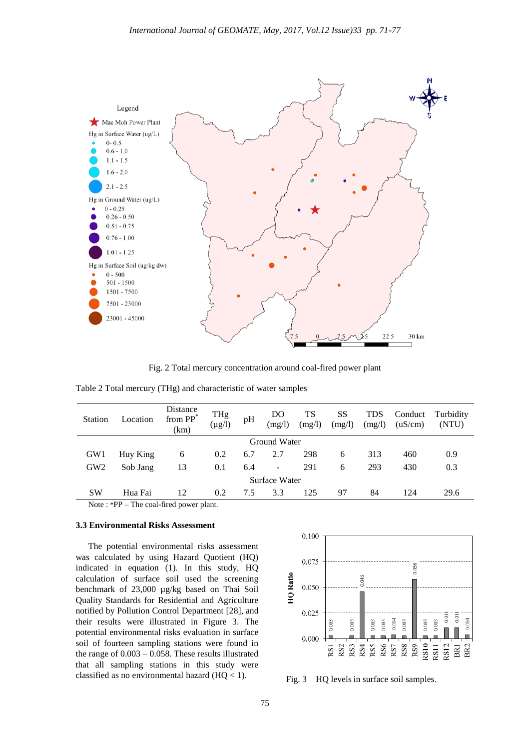

Fig. 2 Total mercury concentration around coal-fired power plant

| <b>Station</b>  | Location                                | Distance<br>from PP <sup>*</sup><br>(km) | THg<br>$(\mu g/l)$ | pH  | DO<br>(mg/l)             | TS<br>(mg/l) | SS<br>(mg/l) | TDS<br>(mg/l) | Conduct<br>(uS/cm) | Turbidity<br>(NTU) |
|-----------------|-----------------------------------------|------------------------------------------|--------------------|-----|--------------------------|--------------|--------------|---------------|--------------------|--------------------|
| Ground Water    |                                         |                                          |                    |     |                          |              |              |               |                    |                    |
| GW1             | Huy King                                | 6                                        | 0.2                | 6.7 | 2.7                      | 298          | 6            | 313           | 460                | 0.9                |
| GW <sub>2</sub> | Sob Jang                                | 13                                       | 0.1                | 6.4 | $\overline{\phantom{a}}$ | 291          | 6            | 293           | 430                | 0.3                |
| Surface Water   |                                         |                                          |                    |     |                          |              |              |               |                    |                    |
| <b>SW</b>       | Hua Fai                                 | 12                                       | 0.2                | 7.5 | 3.3                      | 125          | 97           | 84            | 124                | 29.6               |
|                 | $Noto : *DD$ The soal fired nower plant |                                          |                    |     |                          |              |              |               |                    |                    |

| Table 2 Total mercury (THg) and characteristic of water samples |  |
|-----------------------------------------------------------------|--|
|-----------------------------------------------------------------|--|

Note : \*PP – The coal-fired power plant.

## **3.3 Environmental Risks Assessment**

The potential environmental risks assessment was calculated by using Hazard Quotient (HQ) indicated in equation (1). In this study, HQ calculation of surface soil used the screening benchmark of 23,000 µg/kg based on Thai Soil Quality Standards for Residential and Agriculture notified by Pollution Control Department [28], and their results were illustrated in Figure 3. The potential environmental risks evaluation in surface soil of fourteen sampling stations were found in the range of 0.003 – 0.058. These results illustrated that all sampling stations in this study were classified as no environmental hazard  $(HQ < 1)$ . Fig. 3 HQ levels in surface soil samples.

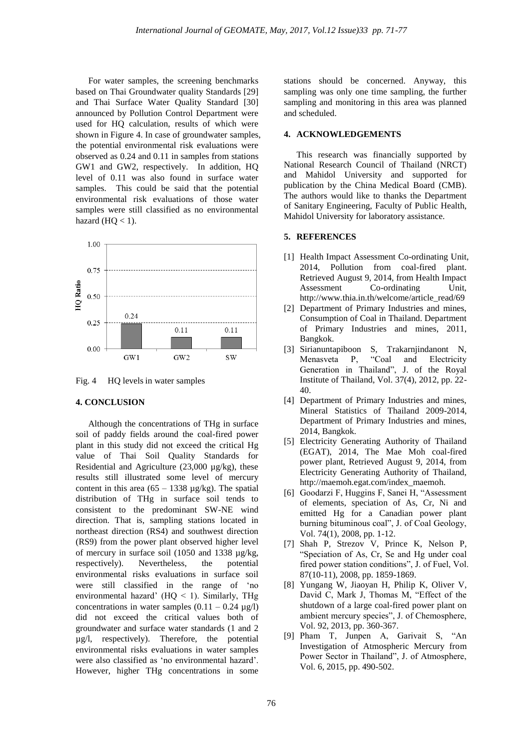For water samples, the screening benchmarks based on Thai Groundwater quality Standards [29] and Thai Surface Water Quality Standard [30] announced by Pollution Control Department were used for HQ calculation, results of which were shown in Figure 4. In case of groundwater samples, the potential environmental risk evaluations were observed as 0.24 and 0.11 in samples from stations GW1 and GW2, respectively. In addition, HQ level of 0.11 was also found in surface water samples. This could be said that the potential environmental risk evaluations of those water samples were still classified as no environmental hazard  $(HQ < 1)$ .



Fig. 4 HQ levels in water samples

### **4. CONCLUSION**

Although the concentrations of THg in surface soil of paddy fields around the coal-fired power plant in this study did not exceed the critical Hg value of Thai Soil Quality Standards for Residential and Agriculture (23,000 µg/kg), these results still illustrated some level of mercury content in this area  $(65 - 1338 \text{ µg/kg})$ . The spatial distribution of THg in surface soil tends to consistent to the predominant SW-NE wind direction. That is, sampling stations located in northeast direction (RS4) and southwest direction (RS9) from the power plant observed higher level of mercury in surface soil (1050 and 1338 µg/kg, respectively). Nevertheless, the potential environmental risks evaluations in surface soil were still classified in the range of 'no environmental hazard' (HQ < 1). Similarly, THg concentrations in water samples  $(0.11 - 0.24 \text{ µg/l})$ did not exceed the critical values both of groundwater and surface water standards (1 and 2 µg/l, respectively). Therefore, the potential environmental risks evaluations in water samples were also classified as 'no environmental hazard'. However, higher THg concentrations in some stations should be concerned. Anyway, this sampling was only one time sampling, the further sampling and monitoring in this area was planned and scheduled.

### **4. ACKNOWLEDGEMENTS**

This research was financially supported by National Research Council of Thailand (NRCT) and Mahidol University and supported for publication by the China Medical Board (CMB). The authors would like to thanks the Department of Sanitary Engineering, Faculty of Public Health, Mahidol University for laboratory assistance.

### **5. REFERENCES**

- [1] Health Impact Assessment Co-ordinating Unit, 2014, Pollution from coal-fired plant. Retrieved August 9, 2014, from Health Impact Assessment Co-ordinating Unit, http://www.thia.in.th/welcome/article\_read/69
- [2] Department of Primary Industries and mines, Consumption of Coal in Thailand. Department of Primary Industries and mines, 2011, Bangkok.
- [3] Sirianuntapiboon S, Trakarnjindanont N, Menasveta P, "Coal and Electricity Generation in Thailand", J. of the Royal Institute of Thailand, Vol. 37(4), 2012, pp. 22- 40.
- [4] Department of Primary Industries and mines, Mineral Statistics of Thailand 2009-2014, Department of Primary Industries and mines, 2014, Bangkok.
- [5] Electricity Generating Authority of Thailand (EGAT), 2014, The Mae Moh coal-fired power plant, Retrieved August 9, 2014, from Electricity Generating Authority of Thailand, http://maemoh.egat.com/index\_maemoh.
- [6] Goodarzi F, Huggins F, Sanei H, "Assessment of elements, speciation of As, Cr, Ni and emitted Hg for a Canadian power plant burning bituminous coal", J. of Coal Geology, Vol. 74(1), 2008, pp. 1-12.
- [7] Shah P, Strezov V, Prince K, Nelson P, "Speciation of As, Cr, Se and Hg under coal fired power station conditions", J. of Fuel, Vol. 87(10-11), 2008, pp. 1859-1869.
- [8] Yungang W, Jiaoyan H, Philip K, Oliver V, David C, Mark J, Thomas M, "Effect of the shutdown of a large coal-fired power plant on ambient mercury species", J. of Chemosphere, Vol. 92, 2013, pp. 360-367.
- [9] Pham T, Junpen A, Garivait S, "An Investigation of Atmospheric Mercury from Power Sector in Thailand", J. of Atmosphere, Vol. 6, 2015, pp. 490-502.